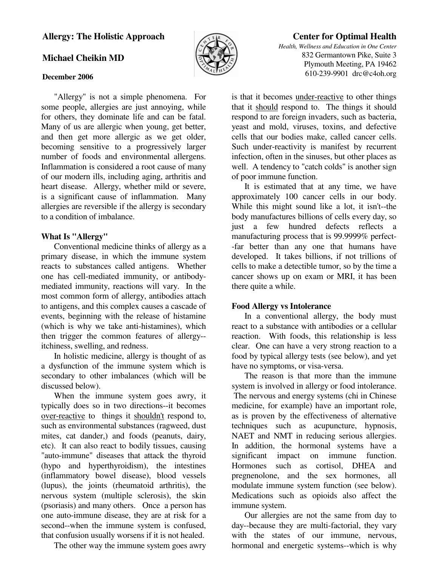## **Allergy: The Holistic Approach**

#### **Michael Cheikin MD**



# **Center for Optimal Health**

*Health, Wellness and Education in One Center* 832 Germantown Pike, Suite 3 Plymouth Meeting, PA 19462 610-239-9901 drc@c4oh.org

#### **December 2006**

"Allergy" is not a simple phenomena. For some people, allergies are just annoying, while for others, they dominate life and can be fatal. Many of us are allergic when young, get better, and then get more allergic as we get older, becoming sensitive to a progressively larger number of foods and environmental allergens. Inflammation is considered a root cause of many of our modern ills, including aging, arthritis and heart disease. Allergy, whether mild or severe, is a significant cause of inflammation. Many allergies are reversible if the allergy is secondary to a condition of imbalance.

#### **What Is "Allergy"**

 Conventional medicine thinks of allergy as a primary disease, in which the immune system reacts to substances called antigens. Whether one has cell-mediated immunity, or antibodymediated immunity, reactions will vary. In the most common form of allergy, antibodies attach to antigens, and this complex causes a cascade of events, beginning with the release of histamine (which is why we take anti-histamines), which then trigger the common features of allergy- itchiness, swelling, and redness.

 In holistic medicine, allergy is thought of as a dysfunction of the immune system which is secondary to other imbalances (which will be discussed below).

 When the immune system goes awry, it typically does so in two directions--it becomes over-reactive to things it shouldn't respond to, such as environmental substances (ragweed, dust mites, cat dander,) and foods (peanuts, dairy, etc). It can also react to bodily tissues, causing "auto-immune" diseases that attack the thyroid (hypo and hyperthyroidism), the intestines (inflammatory bowel disease), blood vessels (lupus), the joints (rheumatoid arthritis), the nervous system (multiple sclerosis), the skin (psoriasis) and many others. Once a person has one auto-immune disease, they are at risk for a second--when the immune system is confused, that confusion usually worsens if it is not healed.

The other way the immune system goes awry

is that it becomes under-reactive to other things that it should respond to. The things it should respond to are foreign invaders, such as bacteria, yeast and mold, viruses, toxins, and defective cells that our bodies make, called cancer cells. Such under-reactivity is manifest by recurrent infection, often in the sinuses, but other places as well. A tendency to "catch colds" is another sign of poor immune function.

 It is estimated that at any time, we have approximately 100 cancer cells in our body. While this might sound like a lot, it isn't--the body manufactures billions of cells every day, so just a few hundred defects reflects a manufacturing process that is 99.9999% perfect- -far better than any one that humans have developed. It takes billions, if not trillions of cells to make a detectible tumor, so by the time a cancer shows up on exam or MRI, it has been there quite a while.

#### **Food Allergy vs Intolerance**

 In a conventional allergy, the body must react to a substance with antibodies or a cellular reaction. With foods, this relationship is less clear. One can have a very strong reaction to a food by typical allergy tests (see below), and yet have no symptoms, or visa-versa.

 The reason is that more than the immune system is involved in allergy or food intolerance. The nervous and energy systems (chi in Chinese medicine, for example) have an important role, as is proven by the effectiveness of alternative techniques such as acupuncture, hypnosis, NAET and NMT in reducing serious allergies. In addition, the hormonal systems have a significant impact on immune function. Hormones such as cortisol, DHEA and pregnenolone, and the sex hormones, all modulate immune system function (see below). Medications such as opioids also affect the immune system.

 Our allergies are not the same from day to day--because they are multi-factorial, they vary with the states of our immune, nervous, hormonal and energetic systems--which is why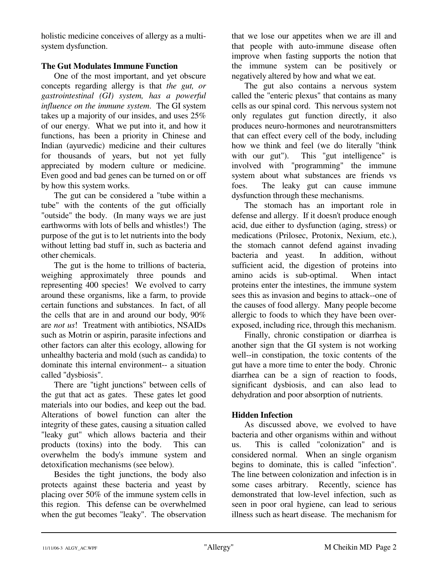holistic medicine conceives of allergy as a multisystem dysfunction.

## **The Gut Modulates Immune Function**

 One of the most important, and yet obscure concepts regarding allergy is that *the gut, or gastrointestinal (GI) system, has a powerful influence on the immune system*. The GI system takes up a majority of our insides, and uses 25% of our energy. What we put into it, and how it functions, has been a priority in Chinese and Indian (ayurvedic) medicine and their cultures for thousands of years, but not yet fully appreciated by modern culture or medicine. Even good and bad genes can be turned on or off by how this system works.

 The gut can be considered a "tube within a tube" with the contents of the gut officially "outside" the body. (In many ways we are just earthworms with lots of bells and whistles!) The purpose of the gut is to let nutrients into the body without letting bad stuff in, such as bacteria and other chemicals.

 The gut is the home to trillions of bacteria, weighing approximately three pounds and representing 400 species! We evolved to carry around these organisms, like a farm, to provide certain functions and substances. In fact, of all the cells that are in and around our body, 90% are *not us*! Treatment with antibiotics, NSAIDs such as Motrin or aspirin, parasite infections and other factors can alter this ecology, allowing for unhealthy bacteria and mold (such as candida) to dominate this internal environment-- a situation called "dysbiosis".

 There are "tight junctions" between cells of the gut that act as gates. These gates let good materials into our bodies, and keep out the bad. Alterations of bowel function can alter the integrity of these gates, causing a situation called "leaky gut" which allows bacteria and their products (toxins) into the body. This can overwhelm the body's immune system and detoxification mechanisms (see below).

 Besides the tight junctions, the body also protects against these bacteria and yeast by placing over 50% of the immune system cells in this region. This defense can be overwhelmed when the gut becomes "leaky". The observation

that we lose our appetites when we are ill and that people with auto-immune disease often improve when fasting supports the notion that the immune system can be positively or negatively altered by how and what we eat.

 The gut also contains a nervous system called the "enteric plexus" that contains as many cells as our spinal cord. This nervous system not only regulates gut function directly, it also produces neuro-hormones and neurotransmitters that can effect every cell of the body, including how we think and feel (we do literally "think with our gut"). This "gut intelligence" is involved with "programming" the immune system about what substances are friends vs foes. The leaky gut can cause immune dysfunction through these mechanisms.

 The stomach has an important role in defense and allergy. If it doesn't produce enough acid, due either to dysfunction (aging, stress) or medications (Prilosec, Protonix, Nexium, etc.), the stomach cannot defend against invading bacteria and yeast. In addition, without sufficient acid, the digestion of proteins into amino acids is sub-optimal. When intact proteins enter the intestines, the immune system sees this as invasion and begins to attack--one of the causes of food allergy. Many people become allergic to foods to which they have been overexposed, including rice, through this mechanism.

 Finally, chronic constipation or diarrhea is another sign that the GI system is not working well--in constipation, the toxic contents of the gut have a more time to enter the body. Chronic diarrhea can be a sign of reaction to foods, significant dysbiosis, and can also lead to dehydration and poor absorption of nutrients.

# **Hidden Infection**

 As discussed above, we evolved to have bacteria and other organisms within and without us. This is called "colonization" and is considered normal. When an single organism begins to dominate, this is called "infection". The line between colonization and infection is in some cases arbitrary. Recently, science has demonstrated that low-level infection, such as seen in poor oral hygiene, can lead to serious illness such as heart disease. The mechanism for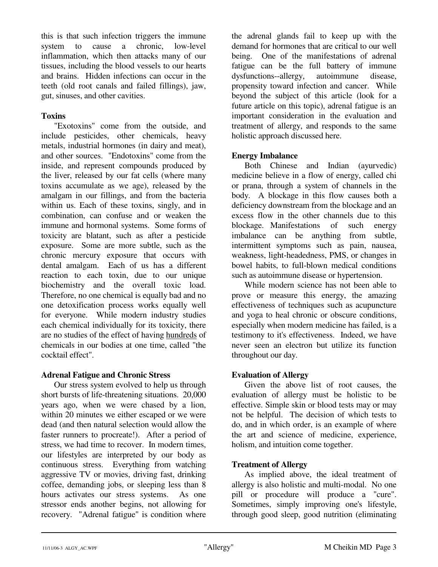this is that such infection triggers the immune system to cause a chronic, low-level inflammation, which then attacks many of our tissues, including the blood vessels to our hearts and brains. Hidden infections can occur in the teeth (old root canals and failed fillings), jaw, gut, sinuses, and other cavities.

## **Toxins**

 "Exotoxins" come from the outside, and include pesticides, other chemicals, heavy metals, industrial hormones (in dairy and meat), and other sources. "Endotoxins" come from the inside, and represent compounds produced by the liver, released by our fat cells (where many toxins accumulate as we age), released by the amalgam in our fillings, and from the bacteria within us. Each of these toxins, singly, and in combination, can confuse and or weaken the immune and hormonal systems. Some forms of toxicity are blatant, such as after a pesticide exposure. Some are more subtle, such as the chronic mercury exposure that occurs with dental amalgam. Each of us has a different reaction to each toxin, due to our unique biochemistry and the overall toxic load. Therefore, no one chemical is equally bad and no one detoxification process works equally well for everyone. While modern industry studies each chemical individually for its toxicity, there are no studies of the effect of having hundreds of chemicals in our bodies at one time, called "the cocktail effect".

### **Adrenal Fatigue and Chronic Stress**

 Our stress system evolved to help us through short bursts of life-threatening situations. 20,000 years ago, when we were chased by a lion, within 20 minutes we either escaped or we were dead (and then natural selection would allow the faster runners to procreate!). After a period of stress, we had time to recover. In modern times, our lifestyles are interpreted by our body as continuous stress. Everything from watching aggressive TV or movies, driving fast, drinking coffee, demanding jobs, or sleeping less than 8 hours activates our stress systems. As one stressor ends another begins, not allowing for recovery. "Adrenal fatigue" is condition where

the adrenal glands fail to keep up with the demand for hormones that are critical to our well being. One of the manifestations of adrenal fatigue can be the full battery of immune dysfunctions--allergy, autoimmune disease, propensity toward infection and cancer. While beyond the subject of this article (look for a future article on this topic), adrenal fatigue is an important consideration in the evaluation and treatment of allergy, and responds to the same holistic approach discussed here.

# **Energy Imbalance**

 Both Chinese and Indian (ayurvedic) medicine believe in a flow of energy, called chi or prana, through a system of channels in the body. A blockage in this flow causes both a deficiency downstream from the blockage and an excess flow in the other channels due to this blockage. Manifestations of such energy imbalance can be anything from subtle, intermittent symptoms such as pain, nausea, weakness, light-headedness, PMS, or changes in bowel habits, to full-blown medical conditions such as autoimmune disease or hypertension.

 While modern science has not been able to prove or measure this energy, the amazing effectiveness of techniques such as acupuncture and yoga to heal chronic or obscure conditions, especially when modern medicine has failed, is a testimony to it's effectiveness. Indeed, we have never seen an electron but utilize its function throughout our day.

# **Evaluation of Allergy**

 Given the above list of root causes, the evaluation of allergy must be holistic to be effective. Simple skin or blood tests may or may not be helpful. The decision of which tests to do, and in which order, is an example of where the art and science of medicine, experience, holism, and intuition come together.

# **Treatment of Allergy**

 As implied above, the ideal treatment of allergy is also holistic and multi-modal. No one pill or procedure will produce a "cure". Sometimes, simply improving one's lifestyle, through good sleep, good nutrition (eliminating